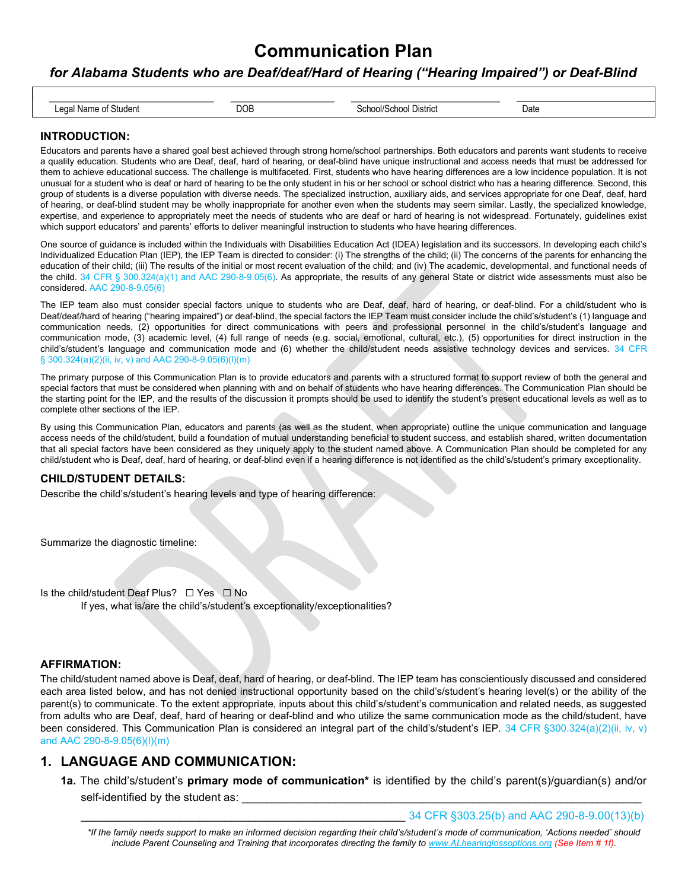#### for Alabama Students who are Deaf/deaf/Hard of Hearing ("Hearing Impaired") or Deaf-Blind

| 000<br>$N \sim 1$<br>inant<br>Student<br>. .<br>. | ۱۵۱۴٬<br>District<br>enoc<br>. H | Date |
|---------------------------------------------------|----------------------------------|------|

#### INTRODUCTION:

Educators and parents have a shared goal best achieved through strong home/school partnerships. Both educators and parents want students to receive a quality education. Students who are Deaf, deaf, hard of hearing, or deaf-blind have unique instructional and access needs that must be addressed for them to achieve educational success. The challenge is multifaceted. First, students who have hearing differences are a low incidence population. It is not unusual for a student who is deaf or hard of hearing to be the only student in his or her school or school district who has a hearing difference. Second, this group of students is a diverse population with diverse needs. The specialized instruction, auxiliary aids, and services appropriate for one Deaf, deaf, hard of hearing, or deaf-blind student may be wholly inappropriate for another even when the students may seem similar. Lastly, the specialized knowledge, expertise, and experience to appropriately meet the needs of students who are deaf or hard of hearing is not widespread. Fortunately, guidelines exist which support educators' and parents' efforts to deliver meaningful instruction to students who have hearing differences.

One source of guidance is included within the Individuals with Disabilities Education Act (IDEA) legislation and its successors. In developing each child's Individualized Education Plan (IEP), the IEP Team is directed to consider: (i) The strengths of the child; (ii) The concerns of the parents for enhancing the education of their child; (iii) The results of the initial or most recent evaluation of the child; and (iv) The academic, developmental, and functional needs of the child. 34 CFR § 300.324(a)(1) and AAC 290-8-9.05(6). As appropriate, the results of any general State or district wide assessments must also be considered. AAC 290-8-9.05(6)

The IEP team also must consider special factors unique to students who are Deaf, deaf, hard of hearing, or deaf-blind. For a child/student who is Deaf/deaf/hard of hearing ("hearing impaired") or deaf-blind, the special factors the IEP Team must consider include the child's/student's (1) language and communication needs, (2) opportunities for direct communications with peers and professional personnel in the child's/student's language and communication mode, (3) academic level, (4) full range of needs (e.g. social, emotional, cultural, etc.), (5) opportunities for direct instruction in the child's/student's language and communication mode and (6) whether the child/student needs assistive technology devices and services. 34 CFR § 300.324(a)(2)(ii, iv, v) and AAC 290-8-9.05(6)(l)(m)

The primary purpose of this Communication Plan is to provide educators and parents with a structured format to support review of both the general and special factors that must be considered when planning with and on behalf of students who have hearing differences. The Communication Plan should be the starting point for the IEP, and the results of the discussion it prompts should be used to identify the student's present educational levels as well as to complete other sections of the IEP.

By using this Communication Plan, educators and parents (as well as the student, when appropriate) outline the unique communication and language access needs of the child/student, build a foundation of mutual understanding beneficial to student success, and establish shared, written documentation that all special factors have been considered as they uniquely apply to the student named above. A Communication Plan should be completed for any child/student who is Deaf, deaf, hard of hearing, or deaf-blind even if a hearing difference is not identified as the child's/student's primary exceptionality.

#### CHILD/STUDENT DETAILS:

Describe the child's/student's hearing levels and type of hearing difference:

Summarize the diagnostic timeline:

Is the child/student Deaf Plus? ☐ Yes ☐ No If yes, what is/are the child's/student's exceptionality/exceptionalities?

#### AFFIRMATION:

The child/student named above is Deaf, deaf, hard of hearing, or deaf-blind. The IEP team has conscientiously discussed and considered each area listed below, and has not denied instructional opportunity based on the child's/student's hearing level(s) or the ability of the parent(s) to communicate. To the extent appropriate, inputs about this child's/student's communication and related needs, as suggested from adults who are Deaf, deaf, hard of hearing or deaf-blind and who utilize the same communication mode as the child/student, have been considered. This Communication Plan is considered an integral part of the child's/student's IEP. 34 CFR §300.324(a)(2)(ii, iv, v) and AAC 290-8-9.05(6)(l)(m)

### 1. LANGUAGE AND COMMUNICATION:

1a. The child's/student's **primary mode of communication**\* is identified by the child's parent(s)/guardian(s) and/or self-identified by the student as:

\_\_\_\_\_\_\_\_\_\_\_\_\_\_\_\_\_\_\_\_\_\_\_\_\_\_\_\_\_\_\_\_\_\_\_\_\_\_\_\_\_\_\_\_\_\_\_\_\_\_\_\_ 34 CFR §303.25(b) and AAC 290-8-9.00(13)(b)

\*If the family needs support to make an informed decision regarding their child's/student's mode of communication, 'Actions needed' should include Parent Counseling and Training that incorporates directing the family to www.ALhearinglossoptions.org (See Item # 1f).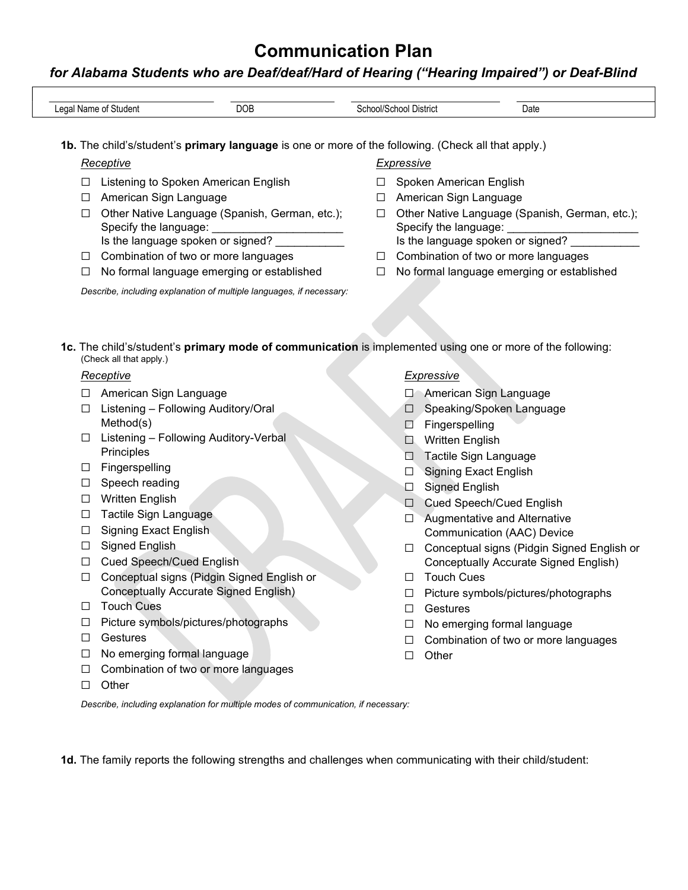## for Alabama Students who are Deaf/deaf/Hard of Hearing ("Hearing Impaired") or Deaf-Blind

|        | 1b. The child's/student's primary language is one or more of the following. (Check all that apply.)                                   |        |                   |                                                                         |
|--------|---------------------------------------------------------------------------------------------------------------------------------------|--------|-------------------|-------------------------------------------------------------------------|
|        | <b>Receptive</b>                                                                                                                      |        | <b>Expressive</b> |                                                                         |
| ⊔      | Listening to Spoken American English                                                                                                  | □      |                   | Spoken American English                                                 |
| ⊔      | American Sign Language                                                                                                                | ⊔      |                   | American Sign Language                                                  |
| □      | Other Native Language (Spanish, German, etc.);<br>Specify the language:                                                               | $\Box$ |                   | Other Native Language (Spanish, German, etc.);<br>Specify the language: |
|        | Is the language spoken or signed?                                                                                                     |        |                   | Is the language spoken or signed?                                       |
| $\Box$ | Combination of two or more languages                                                                                                  | □      |                   | Combination of two or more languages                                    |
| □      | No formal language emerging or established                                                                                            | $\Box$ |                   | No formal language emerging or established                              |
|        | Describe, including explanation of multiple languages, if necessary:                                                                  |        |                   |                                                                         |
|        |                                                                                                                                       |        |                   |                                                                         |
|        |                                                                                                                                       |        |                   |                                                                         |
|        |                                                                                                                                       |        |                   |                                                                         |
|        | 1c. The child's/student's primary mode of communication is implemented using one or more of the following:<br>(Check all that apply.) |        |                   |                                                                         |
|        |                                                                                                                                       |        |                   |                                                                         |
|        | Receptive                                                                                                                             |        |                   | <b>Expressive</b>                                                       |
|        | □ American Sign Language                                                                                                              |        |                   | □ American Sign Language                                                |
| $\Box$ | Listening - Following Auditory/Oral<br>Method(s)                                                                                      |        | $\Box$            | Speaking/Spoken Language                                                |
| ⊔      | Listening - Following Auditory-Verbal                                                                                                 |        | □<br>$\Box$       | Fingerspelling<br>Written English                                       |
|        | Principles                                                                                                                            |        |                   | Tactile Sign Language                                                   |
| ⊔      | Fingerspelling                                                                                                                        |        | ∐<br>$\Box$       | <b>Signing Exact English</b>                                            |
| ш      | Speech reading                                                                                                                        |        | ◘                 | <b>Signed English</b>                                                   |
| ப      | <b>Written English</b>                                                                                                                |        | $\Box$            | Cued Speech/Cued English                                                |
| ⊔      | Tactile Sign Language                                                                                                                 |        | □                 | Augmentative and Alternative                                            |
| ⊔      | <b>Signing Exact English</b>                                                                                                          |        |                   | Communication (AAC) Device                                              |
| ⊔      | Signed English                                                                                                                        |        | □                 | Conceptual signs (Pidgin Signed English or                              |
| ⊔      | <b>Cued Speech/Cued English</b>                                                                                                       |        |                   | Conceptually Accurate Signed English)                                   |
| □      | Conceptual signs (Pidgin Signed English or                                                                                            |        | П                 | <b>Touch Cues</b>                                                       |
|        | Conceptually Accurate Signed English)                                                                                                 |        | ப                 | Picture symbols/pictures/photographs                                    |
| ப      | <b>Touch Cues</b>                                                                                                                     |        |                   | Gestures                                                                |
| ⊔      | Picture symbols/pictures/photographs                                                                                                  |        | ப                 | No emerging formal language                                             |
| ⊔      | Gestures                                                                                                                              |        | ப                 | Combination of two or more languages                                    |
| ⊔      | No emerging formal language                                                                                                           |        | □                 | Other                                                                   |
| ⊔      | Combination of two or more languages                                                                                                  |        |                   |                                                                         |
| ⊔      | Other                                                                                                                                 |        |                   |                                                                         |
|        | Describe, including explanation for multiple modes of communication, if necessary:                                                    |        |                   |                                                                         |
|        |                                                                                                                                       |        |                   |                                                                         |
|        |                                                                                                                                       |        |                   |                                                                         |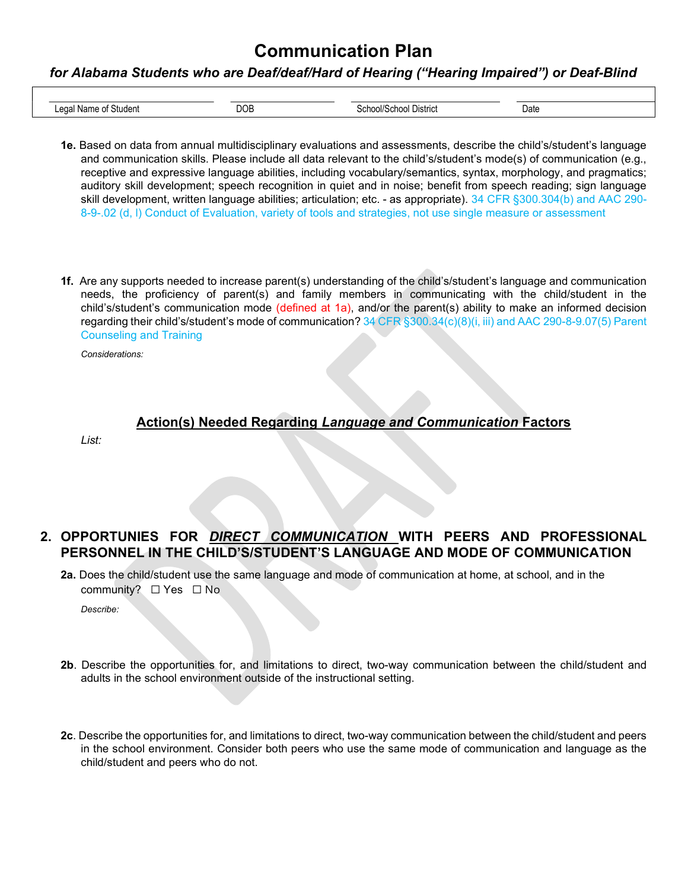#### for Alabama Students who are Deaf/deaf/Hard of Hearing ("Hearing Impaired") or Deaf-Blind

| Studen <sup>®</sup><br>$\sim$<br>. | $\neg$ $\wedge$ r.<br>,,<br>. | <b>Jistric</b> | Date<br>. |
|------------------------------------|-------------------------------|----------------|-----------|

- 1e. Based on data from annual multidisciplinary evaluations and assessments, describe the child's/student's language and communication skills. Please include all data relevant to the child's/student's mode(s) of communication (e.g., receptive and expressive language abilities, including vocabulary/semantics, syntax, morphology, and pragmatics; auditory skill development; speech recognition in quiet and in noise; benefit from speech reading; sign language skill development, written language abilities; articulation; etc. - as appropriate). 34 CFR §300.304(b) and AAC 290- 8-9-.02 (d, l) Conduct of Evaluation, variety of tools and strategies, not use single measure or assessment
- 1f. Are any supports needed to increase parent(s) understanding of the child's/student's language and communication needs, the proficiency of parent(s) and family members in communicating with the child/student in the child's/student's communication mode (defined at 1a), and/or the parent(s) ability to make an informed decision regarding their child's/student's mode of communication? 34 CFR §300.34(c)(8)(i, iii) and AAC 290-8-9.07(5) Parent Counseling and Training

Considerations:

### Action(s) Needed Regarding Language and Communication Factors

List:

- 2. OPPORTUNIES FOR DIRECT COMMUNICATION WITH PEERS AND PROFESSIONAL PERSONNEL IN THE CHILD'S/STUDENT'S LANGUAGE AND MODE OF COMMUNICATION
	- 2a. Does the child/student use the same language and mode of communication at home, at school, and in the community? □ Yes □ No

Describe:

- 2b. Describe the opportunities for, and limitations to direct, two-way communication between the child/student and adults in the school environment outside of the instructional setting.
- 2c. Describe the opportunities for, and limitations to direct, two-way communication between the child/student and peers in the school environment. Consider both peers who use the same mode of communication and language as the child/student and peers who do not.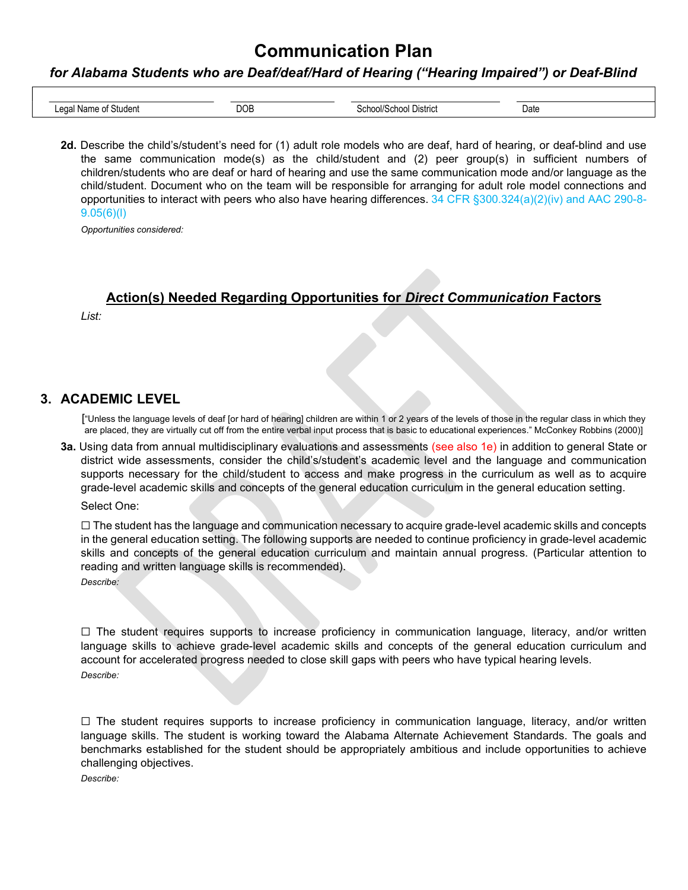#### for Alabama Students who are Deaf/deaf/Hard of Hearing ("Hearing Impaired") or Deaf-Blind

| $\sim$<br>studer <sup>.</sup><br>Y.<br>. | ℩⊨<br>$\sim$ $\sim$ $\sim$ | stric | Date |
|------------------------------------------|----------------------------|-------|------|

2d. Describe the child's/student's need for (1) adult role models who are deaf, hard of hearing, or deaf-blind and use the same communication mode(s) as the child/student and (2) peer group(s) in sufficient numbers of children/students who are deaf or hard of hearing and use the same communication mode and/or language as the child/student. Document who on the team will be responsible for arranging for adult role model connections and opportunities to interact with peers who also have hearing differences. 34 CFR §300.324(a)(2)(iv) and AAC 290-8- 9.05(6)(l)

Opportunities considered:

### Action(s) Needed Regarding Opportunities for Direct Communication Factors

List:

### 3. ACADEMIC LEVEL

["Unless the language levels of deaf [or hard of hearing] children are within 1 or 2 years of the levels of those in the regular class in which they are placed, they are virtually cut off from the entire verbal input process that is basic to educational experiences." McConkey Robbins (2000)]

3a. Using data from annual multidisciplinary evaluations and assessments (see also 1e) in addition to general State or district wide assessments, consider the child's/student's academic level and the language and communication supports necessary for the child/student to access and make progress in the curriculum as well as to acquire grade-level academic skills and concepts of the general education curriculum in the general education setting.

Select One:

☐ The student has the language and communication necessary to acquire grade-level academic skills and concepts in the general education setting. The following supports are needed to continue proficiency in grade-level academic skills and concepts of the general education curriculum and maintain annual progress. (Particular attention to reading and written language skills is recommended). Describe:

 $\Box$  The student requires supports to increase proficiency in communication language, literacy, and/or written language skills to achieve grade-level academic skills and concepts of the general education curriculum and account for accelerated progress needed to close skill gaps with peers who have typical hearing levels. Describe:

☐ The student requires supports to increase proficiency in communication language, literacy, and/or written language skills. The student is working toward the Alabama Alternate Achievement Standards. The goals and benchmarks established for the student should be appropriately ambitious and include opportunities to achieve challenging objectives.

Describe: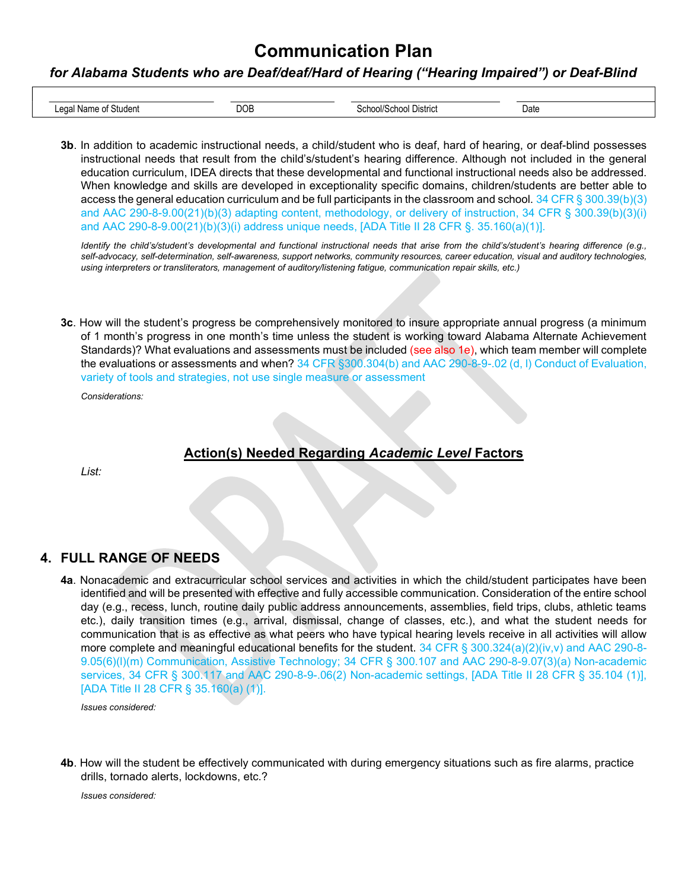#### for Alabama Students who are Deaf/deaf/Hard of Hearing ("Hearing Impaired") or Deaf-Blind

| Studen<br>$\sim$<br>. .<br>. | $n \cap$<br>∟טש | <br>$\sim$ | Date |
|------------------------------|-----------------|------------|------|

3b. In addition to academic instructional needs, a child/student who is deaf, hard of hearing, or deaf-blind possesses instructional needs that result from the child's/student's hearing difference. Although not included in the general education curriculum, IDEA directs that these developmental and functional instructional needs also be addressed. When knowledge and skills are developed in exceptionality specific domains, children/students are better able to access the general education curriculum and be full participants in the classroom and school.  $34$  CFR § 300.39(b)(3) and AAC 290-8-9.00(21)(b)(3) adapting content, methodology, or delivery of instruction, 34 CFR § 300.39(b)(3)(i) and AAC 290-8-9.00(21)(b)(3)(i) address unique needs, [ADA Title II 28 CFR §. 35.160(a)(1)].

Identify the child's/student's developmental and functional instructional needs that arise from the child's/student's hearing difference (e.g., self-advocacy, self-determination, self-awareness, support networks, community resources, career education, visual and auditory technologies, using interpreters or transliterators, management of auditory/listening fatigue, communication repair skills, etc.)

3c. How will the student's progress be comprehensively monitored to insure appropriate annual progress (a minimum of 1 month's progress in one month's time unless the student is working toward Alabama Alternate Achievement Standards)? What evaluations and assessments must be included (see also 1e), which team member will complete the evaluations or assessments and when? 34 CFR §300.304(b) and AAC 290-8-9-.02 (d, l) Conduct of Evaluation, variety of tools and strategies, not use single measure or assessment

Considerations:

### Action(s) Needed Regarding Academic Level Factors

List:

### 4. FULL RANGE OF NEEDS

4a. Nonacademic and extracurricular school services and activities in which the child/student participates have been identified and will be presented with effective and fully accessible communication. Consideration of the entire school day (e.g., recess, lunch, routine daily public address announcements, assemblies, field trips, clubs, athletic teams etc.), daily transition times (e.g., arrival, dismissal, change of classes, etc.), and what the student needs for communication that is as effective as what peers who have typical hearing levels receive in all activities will allow more complete and meaningful educational benefits for the student. 34 CFR § 300.324(a)(2)(iv,v) and AAC 290-8-9.05(6)(l)(m) Communication, Assistive Technology; 34 CFR § 300.107 and AAC 290-8-9.07(3)(a) Non-academic services, 34 CFR § 300.117 and AAC 290-8-9-.06(2) Non-academic settings, [ADA Title II 28 CFR § 35.104 (1)], [ADA Title II 28 CFR § 35.160(a) (1)].

Issues considered:

4b. How will the student be effectively communicated with during emergency situations such as fire alarms, practice drills, tornado alerts, lockdowns, etc.?

Issues considered: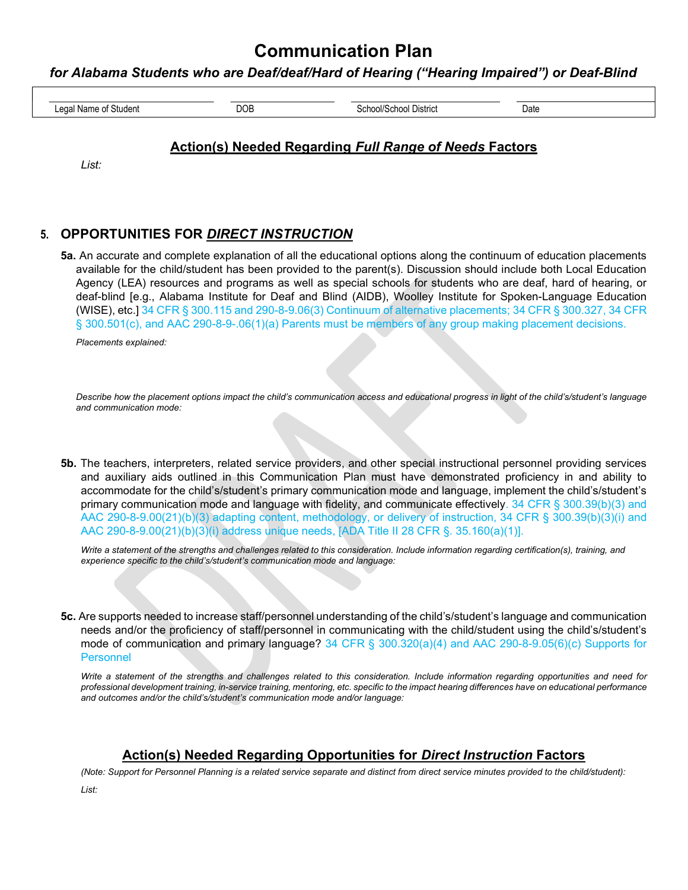### for Alabama Students who are Deaf/deaf/Hard of Hearing ("Hearing Impaired") or Deaf-Blind

| $\sim$<br>м.<br>. | C | Date<br>. |
|-------------------|---|-----------|

### Action(s) Needed Regarding Full Range of Needs Factors

List:

### 5. OPPORTUNITIES FOR DIRECT INSTRUCTION

5a. An accurate and complete explanation of all the educational options along the continuum of education placements available for the child/student has been provided to the parent(s). Discussion should include both Local Education Agency (LEA) resources and programs as well as special schools for students who are deaf, hard of hearing, or deaf-blind [e.g., Alabama Institute for Deaf and Blind (AIDB), Woolley Institute for Spoken-Language Education (WISE), etc.] 34 CFR § 300.115 and 290-8-9.06(3) Continuum of alternative placements; 34 CFR § 300.327, 34 CFR § 300.501(c), and AAC 290-8-9-.06(1)(a) Parents must be members of any group making placement decisions.

Placements explained:

Describe how the placement options impact the child's communication access and educational progress in light of the child's/student's language and communication mode:

5b. The teachers, interpreters, related service providers, and other special instructional personnel providing services and auxiliary aids outlined in this Communication Plan must have demonstrated proficiency in and ability to accommodate for the child's/student's primary communication mode and language, implement the child's/student's primary communication mode and language with fidelity, and communicate effectively. 34 CFR § 300.39(b)(3) and AAC 290-8-9.00(21)(b)(3) adapting content, methodology, or delivery of instruction, 34 CFR § 300.39(b)(3)(i) and AAC 290-8-9.00(21)(b)(3)(i) address unique needs, [ADA Title II 28 CFR §. 35.160(a)(1)].

Write a statement of the strengths and challenges related to this consideration. Include information regarding certification(s), training, and experience specific to the child's/student's communication mode and language:

5c. Are supports needed to increase staff/personnel understanding of the child's/student's language and communication needs and/or the proficiency of staff/personnel in communicating with the child/student using the child's/student's mode of communication and primary language? 34 CFR § 300.320(a)(4) and AAC 290-8-9.05(6)(c) Supports for Personnel

Write a statement of the strengths and challenges related to this consideration. Include information regarding opportunities and need for professional development training, in-service training, mentoring, etc. specific to the impact hearing differences have on educational performance and outcomes and/or the child's/student's communication mode and/or language:

## Action(s) Needed Regarding Opportunities for Direct Instruction Factors

(Note: Support for Personnel Planning is a related service separate and distinct from direct service minutes provided to the child/student):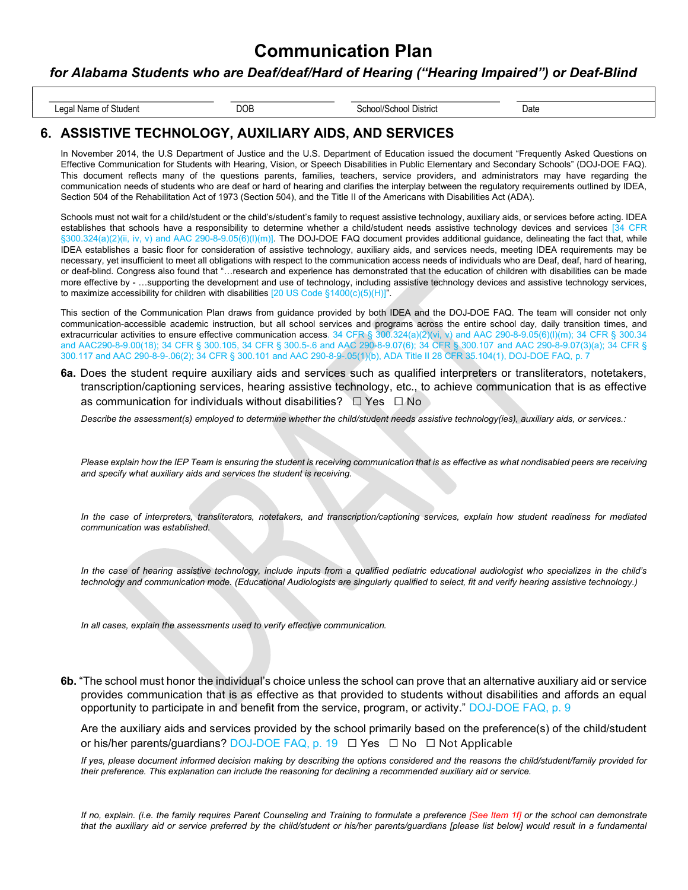#### for Alabama Students who are Deaf/deaf/Hard of Hearing ("Hearing Impaired") or Deaf-Blind

Legal Name of Student Date COB COB School/School District Date Date Date

### 6. ASSISTIVE TECHNOLOGY, AUXILIARY AIDS, AND SERVICES

In November 2014, the U.S Department of Justice and the U.S. Department of Education issued the document "Frequently Asked Questions on Effective Communication for Students with Hearing, Vision, or Speech Disabilities in Public Elementary and Secondary Schools" (DOJ-DOE FAQ). This document reflects many of the questions parents, families, teachers, service providers, and administrators may have regarding the communication needs of students who are deaf or hard of hearing and clarifies the interplay between the regulatory requirements outlined by IDEA, Section 504 of the Rehabilitation Act of 1973 (Section 504), and the Title II of the Americans with Disabilities Act (ADA).

Schools must not wait for a child/student or the child's/student's family to request assistive technology, auxiliary aids, or services before acting. IDEA establishes that schools have a responsibility to determine whether a child/student needs assistive technology devices and services [34 CFR §300.324(a)(2)(ii, iv, v) and AAC 290-8-9.05(6)(l)(m)]. The DOJ-DOE FAQ document provides additional guidance, delineating the fact that, while IDEA establishes a basic floor for consideration of assistive technology, auxiliary aids, and services needs, meeting IDEA requirements may be necessary, yet insufficient to meet all obligations with respect to the communication access needs of individuals who are Deaf, deaf, hard of hearing, or deaf-blind. Congress also found that "…research and experience has demonstrated that the education of children with disabilities can be made more effective by - …supporting the development and use of technology, including assistive technology devices and assistive technology services, to maximize accessibility for children with disabilities  $[20$  US Code §1400(c)(5)(H)]".

This section of the Communication Plan draws from guidance provided by both IDEA and the DOJ-DOE FAQ. The team will consider not only communication-accessible academic instruction, but all school services and programs across the entire school day, daily transition times, and extracurricular activities to ensure effective communication access. 34 CFR § 300.324(a)(2)(vi, v) and AAC 290-8-9.05(6)(I)(m); 34 CFR § 300.34 and AAC290-8-9.00(18); 34 CFR § 300.105, 34 CFR § 300.5-.6 and AAC 290-8-9.07(6); 34 CFR § 300.107 and AAC 290-8-9.07(3)(a); 34 CFR § 300.117 and AAC 290-8-9-.06(2); 34 CFR § 300.101 and AAC 290-8-9-.05(1)(b), ADA Title II 28 CFR 35.104(1), DOJ-DOE FAQ, p. 7

6a. Does the student require auxiliary aids and services such as qualified interpreters or transliterators, notetakers, transcription/captioning services, hearing assistive technology, etc., to achieve communication that is as effective as communication for individuals without disabilities? □ Yes □ No

Describe the assessment(s) employed to determine whether the child/student needs assistive technology(ies), auxiliary aids, or services.:

Please explain how the IEP Team is ensuring the student is receiving communication that is as effective as what nondisabled peers are receiving and specify what auxiliary aids and services the student is receiving.

In the case of interpreters, transliterators, notetakers, and transcription/captioning services, explain how student readiness for mediated communication was established.

In the case of hearing assistive technology, include inputs from a qualified pediatric educational audiologist who specializes in the child's technology and communication mode. (Educational Audiologists are singularly qualified to select, fit and verify hearing assistive technology.)

In all cases, explain the assessments used to verify effective communication.

6b. "The school must honor the individual's choice unless the school can prove that an alternative auxiliary aid or service provides communication that is as effective as that provided to students without disabilities and affords an equal opportunity to participate in and benefit from the service, program, or activity." DOJ-DOE FAQ, p. 9

Are the auxiliary aids and services provided by the school primarily based on the preference(s) of the child/student or his/her parents/guardians? DOJ-DOE FAQ, p. 19 ☐ Yes ☐ No ☐ Not Applicable

If yes, please document informed decision making by describing the options considered and the reasons the child/student/family provided for their preference. This explanation can include the reasoning for declining a recommended auxiliary aid or service.

If no, explain. (i.e. the family requires Parent Counseling and Training to formulate a preference [See Item 1f] or the school can demonstrate that the auxiliary aid or service preferred by the child/student or his/her parents/guardians [please list below] would result in a fundamental